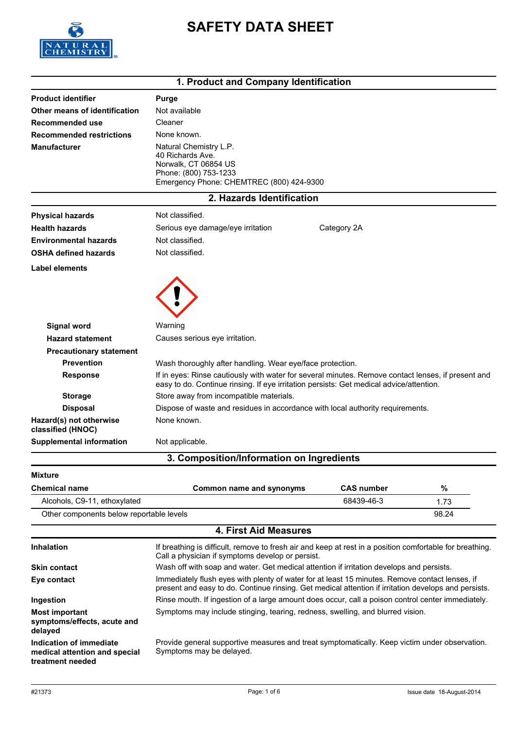

# **SAFETY DATA SHEET**

# **1. Product and Company Identification**

| <b>Product identifier</b>                           | <b>Purge</b>                                                                                                                                                                                                                                               |                   |       |  |
|-----------------------------------------------------|------------------------------------------------------------------------------------------------------------------------------------------------------------------------------------------------------------------------------------------------------------|-------------------|-------|--|
| Other means of identification                       | Not available                                                                                                                                                                                                                                              |                   |       |  |
| <b>Recommended use</b>                              | Cleaner                                                                                                                                                                                                                                                    |                   |       |  |
| <b>Recommended restrictions</b>                     | None known.                                                                                                                                                                                                                                                |                   |       |  |
| <b>Manufacturer</b>                                 | Natural Chemistry L.P.<br>40 Richards Ave.<br>Norwalk, CT 06854 US<br>Phone: (800) 753-1233<br>Emergency Phone: CHEMTREC (800) 424-9300                                                                                                                    |                   |       |  |
|                                                     | 2. Hazards Identification                                                                                                                                                                                                                                  |                   |       |  |
| <b>Physical hazards</b>                             | Not classified.                                                                                                                                                                                                                                            |                   |       |  |
| <b>Health hazards</b>                               | Serious eye damage/eye irritation                                                                                                                                                                                                                          | Category 2A       |       |  |
| <b>Environmental hazards</b>                        | Not classified.                                                                                                                                                                                                                                            |                   |       |  |
| <b>OSHA defined hazards</b>                         | Not classified.                                                                                                                                                                                                                                            |                   |       |  |
| Label elements                                      |                                                                                                                                                                                                                                                            |                   |       |  |
|                                                     |                                                                                                                                                                                                                                                            |                   |       |  |
| <b>Signal word</b>                                  | Warning                                                                                                                                                                                                                                                    |                   |       |  |
| <b>Hazard statement</b>                             | Causes serious eye irritation.                                                                                                                                                                                                                             |                   |       |  |
| <b>Precautionary statement</b><br><b>Prevention</b> |                                                                                                                                                                                                                                                            |                   |       |  |
| <b>Response</b>                                     | Wash thoroughly after handling. Wear eye/face protection.<br>If in eyes: Rinse cautiously with water for several minutes. Remove contact lenses, if present and<br>easy to do. Continue rinsing. If eye irritation persists: Get medical advice/attention. |                   |       |  |
| <b>Storage</b>                                      | Store away from incompatible materials.                                                                                                                                                                                                                    |                   |       |  |
| <b>Disposal</b>                                     | Dispose of waste and residues in accordance with local authority requirements.                                                                                                                                                                             |                   |       |  |
| Hazard(s) not otherwise<br>classified (HNOC)        | None known.                                                                                                                                                                                                                                                |                   |       |  |
| <b>Supplemental information</b>                     | Not applicable.                                                                                                                                                                                                                                            |                   |       |  |
|                                                     | 3. Composition/Information on Ingredients                                                                                                                                                                                                                  |                   |       |  |
| Mixture                                             |                                                                                                                                                                                                                                                            |                   |       |  |
| <b>Chemical name</b>                                | Common name and synonyms                                                                                                                                                                                                                                   | <b>CAS number</b> | $\%$  |  |
| Alcohols, C9-11, ethoxylated                        |                                                                                                                                                                                                                                                            | 68439-46-3        | 1.73  |  |
| Other components below reportable levels            |                                                                                                                                                                                                                                                            |                   | 98.24 |  |
|                                                     | <b>4. First Aid Measures</b>                                                                                                                                                                                                                               |                   |       |  |
| <b>Inhalation</b>                                   | If breathing is difficult, remove to fresh air and keep at rest in a position comfortable for breathing.<br>Call a physician if symptoms develop or persist.                                                                                               |                   |       |  |
| <b>Skin contact</b>                                 | Wash off with soap and water. Get medical attention if irritation develops and persists.                                                                                                                                                                   |                   |       |  |

| Eye contact                                                     | Immediately flush eyes with plenty of water for at least 15 minutes. Remove contact lenses, if<br>present and easy to do. Continue rinsing. Get medical attention if irritation develops and persists. |
|-----------------------------------------------------------------|--------------------------------------------------------------------------------------------------------------------------------------------------------------------------------------------------------|
| Ingestion                                                       | Rinse mouth. If ingestion of a large amount does occur, call a poison control center immediately.                                                                                                      |
| <b>Most important</b><br>symptoms/effects, acute and<br>delaved | Symptoms may include stinging, tearing, redness, swelling, and blurred vision.                                                                                                                         |
| Indication of immediate                                         | Provide general supportive measures and treat symptomatically. Keep victim under observation.                                                                                                          |

**medical attention and special** Provide general supportive measures and treat symptomatically. Keep victim under observation. Symptoms may be delayed.

**treatment needed**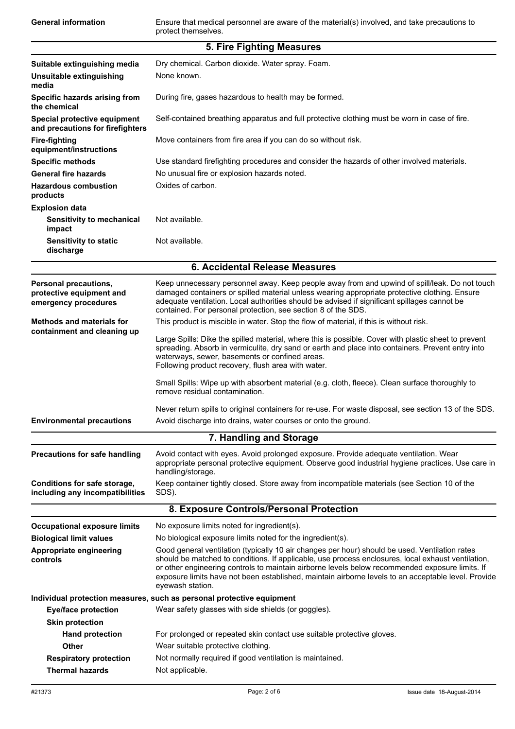General information **Ensure that medical personnel are aware of the material(s) involved, and take precautions to** protect themselves.

|                                                                           | 5. Fire Fighting Measures                                                                                                                                                                                                                                                                                                                                       |  |
|---------------------------------------------------------------------------|-----------------------------------------------------------------------------------------------------------------------------------------------------------------------------------------------------------------------------------------------------------------------------------------------------------------------------------------------------------------|--|
| Suitable extinguishing media                                              | Dry chemical. Carbon dioxide. Water spray. Foam.                                                                                                                                                                                                                                                                                                                |  |
| Unsuitable extinguishing                                                  | None known.                                                                                                                                                                                                                                                                                                                                                     |  |
| media                                                                     |                                                                                                                                                                                                                                                                                                                                                                 |  |
| Specific hazards arising from<br>the chemical                             | During fire, gases hazardous to health may be formed.                                                                                                                                                                                                                                                                                                           |  |
| Special protective equipment<br>and precautions for firefighters          | Self-contained breathing apparatus and full protective clothing must be worn in case of fire.                                                                                                                                                                                                                                                                   |  |
| <b>Fire-fighting</b><br>equipment/instructions                            | Move containers from fire area if you can do so without risk.                                                                                                                                                                                                                                                                                                   |  |
| <b>Specific methods</b>                                                   | Use standard firefighting procedures and consider the hazards of other involved materials.                                                                                                                                                                                                                                                                      |  |
| <b>General fire hazards</b>                                               | No unusual fire or explosion hazards noted.                                                                                                                                                                                                                                                                                                                     |  |
| <b>Hazardous combustion</b><br>products                                   | Oxides of carbon.                                                                                                                                                                                                                                                                                                                                               |  |
| <b>Explosion data</b>                                                     |                                                                                                                                                                                                                                                                                                                                                                 |  |
| Sensitivity to mechanical<br>impact                                       | Not available.                                                                                                                                                                                                                                                                                                                                                  |  |
| <b>Sensitivity to static</b><br>discharge                                 | Not available.                                                                                                                                                                                                                                                                                                                                                  |  |
|                                                                           | 6. Accidental Release Measures                                                                                                                                                                                                                                                                                                                                  |  |
|                                                                           |                                                                                                                                                                                                                                                                                                                                                                 |  |
| Personal precautions,<br>protective equipment and<br>emergency procedures | Keep unnecessary personnel away. Keep people away from and upwind of spill/leak. Do not touch<br>damaged containers or spilled material unless wearing appropriate protective clothing. Ensure<br>adequate ventilation. Local authorities should be advised if significant spillages cannot be<br>contained. For personal protection, see section 8 of the SDS. |  |
| <b>Methods and materials for</b><br>containment and cleaning up           | This product is miscible in water. Stop the flow of material, if this is without risk.                                                                                                                                                                                                                                                                          |  |
|                                                                           | Large Spills: Dike the spilled material, where this is possible. Cover with plastic sheet to prevent<br>spreading. Absorb in vermiculite, dry sand or earth and place into containers. Prevent entry into<br>waterways, sewer, basements or confined areas.<br>Following product recovery, flush area with water.                                               |  |
|                                                                           | Small Spills: Wipe up with absorbent material (e.g. cloth, fleece). Clean surface thoroughly to<br>remove residual contamination.                                                                                                                                                                                                                               |  |
|                                                                           | Never return spills to original containers for re-use. For waste disposal, see section 13 of the SDS.                                                                                                                                                                                                                                                           |  |
| <b>Environmental precautions</b>                                          | Avoid discharge into drains, water courses or onto the ground.                                                                                                                                                                                                                                                                                                  |  |
|                                                                           | 7. Handling and Storage                                                                                                                                                                                                                                                                                                                                         |  |
| <b>Precautions for safe handling</b>                                      | Avoid contact with eyes. Avoid prolonged exposure. Provide adequate ventilation. Wear<br>appropriate personal protective equipment. Observe good industrial hygiene practices. Use care in<br>handling/storage.                                                                                                                                                 |  |
| Conditions for safe storage,<br>including any incompatibilities           | Keep container tightly closed. Store away from incompatible materials (see Section 10 of the<br>SDS).                                                                                                                                                                                                                                                           |  |
|                                                                           | 8. Exposure Controls/Personal Protection                                                                                                                                                                                                                                                                                                                        |  |
| <b>Occupational exposure limits</b>                                       | No exposure limits noted for ingredient(s).                                                                                                                                                                                                                                                                                                                     |  |
| <b>Biological limit values</b>                                            | No biological exposure limits noted for the ingredient(s).                                                                                                                                                                                                                                                                                                      |  |
| Appropriate engineering                                                   | Good general ventilation (typically 10 air changes per hour) should be used. Ventilation rates                                                                                                                                                                                                                                                                  |  |
| controls                                                                  | should be matched to conditions. If applicable, use process enclosures, local exhaust ventilation,<br>or other engineering controls to maintain airborne levels below recommended exposure limits. If<br>exposure limits have not been established, maintain airborne levels to an acceptable level. Provide<br>eyewash station.                                |  |
|                                                                           | Individual protection measures, such as personal protective equipment                                                                                                                                                                                                                                                                                           |  |
| <b>Eye/face protection</b>                                                | Wear safety glasses with side shields (or goggles).                                                                                                                                                                                                                                                                                                             |  |
| <b>Skin protection</b>                                                    |                                                                                                                                                                                                                                                                                                                                                                 |  |
| <b>Hand protection</b>                                                    | For prolonged or repeated skin contact use suitable protective gloves.                                                                                                                                                                                                                                                                                          |  |
| Other                                                                     | Wear suitable protective clothing.                                                                                                                                                                                                                                                                                                                              |  |
| <b>Respiratory protection</b>                                             | Not normally required if good ventilation is maintained.                                                                                                                                                                                                                                                                                                        |  |
| <b>Thermal hazards</b>                                                    | Not applicable.                                                                                                                                                                                                                                                                                                                                                 |  |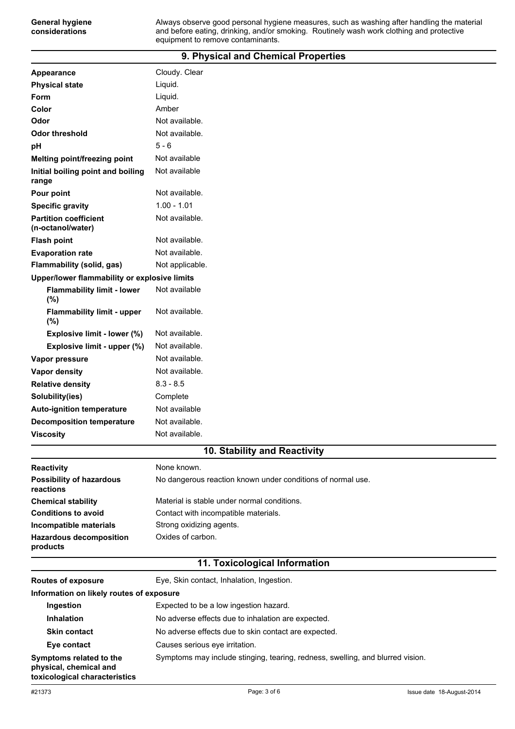#### **9. Physical and Chemical Properties**

| <b>Appearance</b>                                 | Cloudy. Clear   |  |  |
|---------------------------------------------------|-----------------|--|--|
| <b>Physical state</b>                             | Liquid.         |  |  |
| Form                                              | Liquid.         |  |  |
| Color                                             | Amber           |  |  |
| Odor                                              | Not available.  |  |  |
| <b>Odor threshold</b>                             | Not available.  |  |  |
| рH                                                | $5 - 6$         |  |  |
| Melting point/freezing point                      | Not available   |  |  |
| Initial boiling point and boiling<br>range        | Not available   |  |  |
| Pour point                                        | Not available.  |  |  |
| <b>Specific gravity</b>                           | $1.00 - 1.01$   |  |  |
| <b>Partition coefficient</b><br>(n-octanol/water) | Not available.  |  |  |
| <b>Flash point</b>                                | Not available.  |  |  |
| <b>Evaporation rate</b>                           | Not available.  |  |  |
| <b>Flammability (solid, gas)</b>                  | Not applicable. |  |  |
| Upper/lower flammability or explosive limits      |                 |  |  |
| <b>Flammability limit - lower</b><br>(%)          | Not available   |  |  |
| <b>Flammability limit - upper</b><br>(%)          | Not available.  |  |  |
| Explosive limit - lower (%)                       | Not available.  |  |  |
| Explosive limit - upper (%)                       | Not available.  |  |  |
| Vapor pressure                                    | Not available.  |  |  |
| <b>Vapor density</b>                              | Not available.  |  |  |
| <b>Relative density</b>                           | $8.3 - 8.5$     |  |  |
| Solubility(ies)                                   | Complete        |  |  |
| <b>Auto-ignition temperature</b>                  | Not available   |  |  |
| <b>Decomposition temperature</b>                  | Not available.  |  |  |
| <b>Viscosity</b>                                  | Not available.  |  |  |

#### **10. Stability and Reactivity**

| <b>Reactivity</b>                            | None known.                                                 |
|----------------------------------------------|-------------------------------------------------------------|
| <b>Possibility of hazardous</b><br>reactions | No dangerous reaction known under conditions of normal use. |
| <b>Chemical stability</b>                    | Material is stable under normal conditions.                 |
| <b>Conditions to avoid</b>                   | Contact with incompatible materials.                        |
| Incompatible materials                       | Strong oxidizing agents.                                    |
| <b>Hazardous decomposition</b><br>products   | Oxides of carbon.                                           |

## **11. Toxicological Information**

| <b>Routes of exposure</b>                                                          | Eye, Skin contact, Inhalation, Ingestion.                                      |  |  |
|------------------------------------------------------------------------------------|--------------------------------------------------------------------------------|--|--|
| Information on likely routes of exposure                                           |                                                                                |  |  |
| Ingestion                                                                          | Expected to be a low ingestion hazard.                                         |  |  |
| <b>Inhalation</b>                                                                  | No adverse effects due to inhalation are expected.                             |  |  |
| <b>Skin contact</b>                                                                | No adverse effects due to skin contact are expected.                           |  |  |
| Eye contact                                                                        | Causes serious eve irritation.                                                 |  |  |
| Symptoms related to the<br>physical, chemical and<br>toxicological characteristics | Symptoms may include stinging, tearing, redness, swelling, and blurred vision. |  |  |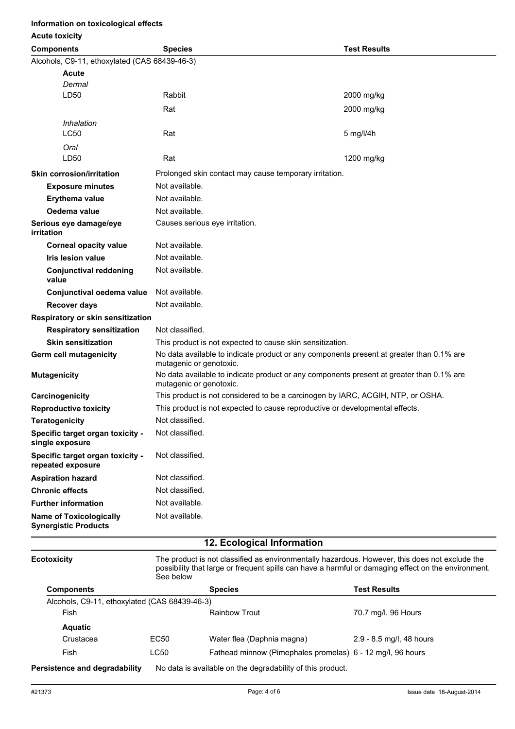#### **Information on toxicological effects**

#### **Acute toxicity**

| <b>AVULU LUAIVILY</b>                                         |                                                                                                                     |                     |  |
|---------------------------------------------------------------|---------------------------------------------------------------------------------------------------------------------|---------------------|--|
| <b>Components</b>                                             | <b>Species</b>                                                                                                      | <b>Test Results</b> |  |
| Alcohols, C9-11, ethoxylated (CAS 68439-46-3)                 |                                                                                                                     |                     |  |
| Acute                                                         |                                                                                                                     |                     |  |
| Dermal                                                        |                                                                                                                     |                     |  |
| LD50                                                          | Rabbit                                                                                                              | 2000 mg/kg          |  |
|                                                               | Rat                                                                                                                 | 2000 mg/kg          |  |
| Inhalation                                                    |                                                                                                                     |                     |  |
| <b>LC50</b>                                                   | Rat                                                                                                                 | $5$ mg/l/4h         |  |
| Oral                                                          |                                                                                                                     |                     |  |
| LD50                                                          | Rat                                                                                                                 | 1200 mg/kg          |  |
| <b>Skin corrosion/irritation</b>                              | Prolonged skin contact may cause temporary irritation.                                                              |                     |  |
| <b>Exposure minutes</b>                                       | Not available.                                                                                                      |                     |  |
| <b>Erythema value</b>                                         | Not available.                                                                                                      |                     |  |
| Oedema value                                                  | Not available.                                                                                                      |                     |  |
| Serious eye damage/eye<br>irritation                          | Causes serious eye irritation.                                                                                      |                     |  |
| <b>Corneal opacity value</b>                                  | Not available.                                                                                                      |                     |  |
| <b>Iris lesion value</b>                                      | Not available.                                                                                                      |                     |  |
| <b>Conjunctival reddening</b><br>value                        | Not available.                                                                                                      |                     |  |
| Conjunctival oedema value                                     | Not available.                                                                                                      |                     |  |
| <b>Recover days</b>                                           | Not available.                                                                                                      |                     |  |
| Respiratory or skin sensitization                             |                                                                                                                     |                     |  |
| <b>Respiratory sensitization</b>                              | Not classified.                                                                                                     |                     |  |
| <b>Skin sensitization</b>                                     | This product is not expected to cause skin sensitization.                                                           |                     |  |
| Germ cell mutagenicity                                        | No data available to indicate product or any components present at greater than 0.1% are<br>mutagenic or genotoxic. |                     |  |
| <b>Mutagenicity</b>                                           | No data available to indicate product or any components present at greater than 0.1% are<br>mutagenic or genotoxic. |                     |  |
| Carcinogenicity                                               | This product is not considered to be a carcinogen by IARC, ACGIH, NTP, or OSHA.                                     |                     |  |
| <b>Reproductive toxicity</b>                                  | This product is not expected to cause reproductive or developmental effects.                                        |                     |  |
| <b>Teratogenicity</b>                                         | Not classified.                                                                                                     |                     |  |
| Specific target organ toxicity -<br>single exposure           | Not classified.                                                                                                     |                     |  |
| Specific target organ toxicity -<br>repeated exposure         | Not classified.                                                                                                     |                     |  |
| <b>Aspiration hazard</b>                                      | Not classified.                                                                                                     |                     |  |
| <b>Chronic effects</b>                                        | Not classified.                                                                                                     |                     |  |
| <b>Further information</b>                                    | Not available.                                                                                                      |                     |  |
| <b>Name of Toxicologically</b><br><b>Synergistic Products</b> | Not available.                                                                                                      |                     |  |

#### **12. Ecological Information**

**Ecotoxicity** The product is not classified as environmentally hazardous. However, this does not exclude the possibility that large or frequent spills can have a harmful or damaging effect on the environment. See below

| <b>Components</b>                             |      | <b>Species</b>                                             | <b>Test Results</b>      |  |
|-----------------------------------------------|------|------------------------------------------------------------|--------------------------|--|
| Alcohols, C9-11, ethoxylated (CAS 68439-46-3) |      |                                                            |                          |  |
| Fish                                          |      | Rainbow Trout                                              | 70.7 mg/l, 96 Hours      |  |
| <b>Aquatic</b>                                |      |                                                            |                          |  |
| Crustacea                                     | EC50 | Water flea (Daphnia magna)                                 | 2.9 - 8.5 mg/l, 48 hours |  |
| Fish                                          | LC50 | Fathead minnow (Pimephales promelas) 6 - 12 mg/l, 96 hours |                          |  |
| Persistence and degradability                 |      | No data is available on the degradability of this product. |                          |  |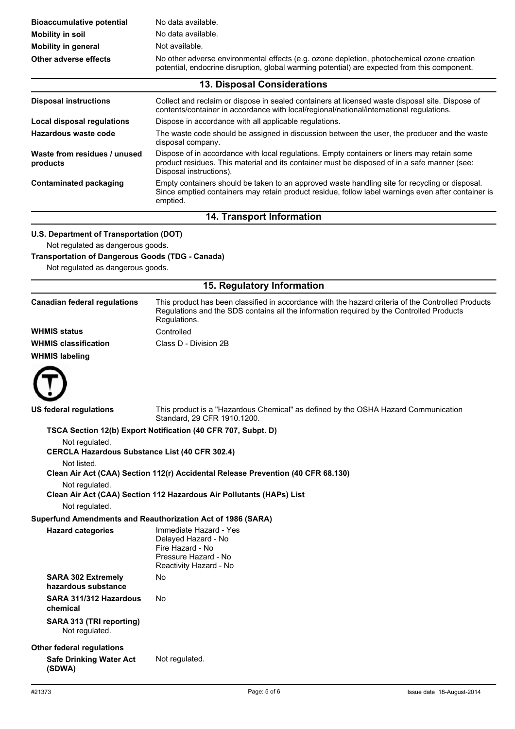| <b>Bioaccumulative potential</b>                                                             | No data available.<br>No data available.                                                                                                                                                                               |  |  |
|----------------------------------------------------------------------------------------------|------------------------------------------------------------------------------------------------------------------------------------------------------------------------------------------------------------------------|--|--|
| <b>Mobility in soil</b><br><b>Mobility in general</b>                                        | Not available.                                                                                                                                                                                                         |  |  |
| Other adverse effects                                                                        | No other adverse environmental effects (e.g. ozone depletion, photochemical ozone creation                                                                                                                             |  |  |
| potential, endocrine disruption, global warming potential) are expected from this component. |                                                                                                                                                                                                                        |  |  |
|                                                                                              | 13. Disposal Considerations                                                                                                                                                                                            |  |  |
| <b>Disposal instructions</b>                                                                 | Collect and reclaim or dispose in sealed containers at licensed waste disposal site. Dispose of<br>contents/container in accordance with local/regional/national/international regulations.                            |  |  |
| <b>Local disposal regulations</b>                                                            | Dispose in accordance with all applicable regulations.                                                                                                                                                                 |  |  |
| <b>Hazardous waste code</b>                                                                  | The waste code should be assigned in discussion between the user, the producer and the waste<br>disposal company.                                                                                                      |  |  |
| Waste from residues / unused<br>products                                                     | Dispose of in accordance with local regulations. Empty containers or liners may retain some<br>product residues. This material and its container must be disposed of in a safe manner (see:<br>Disposal instructions). |  |  |
| <b>Contaminated packaging</b>                                                                | Empty containers should be taken to an approved waste handling site for recycling or disposal.<br>Since emptied containers may retain product residue, follow label warnings even after container is<br>emptied.       |  |  |
|                                                                                              | 14. Transport Information                                                                                                                                                                                              |  |  |
| U.S. Department of Transportation (DOT)                                                      |                                                                                                                                                                                                                        |  |  |
| Not regulated as dangerous goods.                                                            |                                                                                                                                                                                                                        |  |  |
| <b>Transportation of Dangerous Goods (TDG - Canada)</b>                                      |                                                                                                                                                                                                                        |  |  |
| Not regulated as dangerous goods.                                                            |                                                                                                                                                                                                                        |  |  |
|                                                                                              | 15. Regulatory Information                                                                                                                                                                                             |  |  |
| <b>Canadian federal regulations</b>                                                          | This product has been classified in accordance with the hazard criteria of the Controlled Products<br>Regulations and the SDS contains all the information required by the Controlled Products<br>Regulations.         |  |  |
| <b>WHMIS status</b>                                                                          | Controlled                                                                                                                                                                                                             |  |  |
| <b>WHMIS classification</b>                                                                  | Class D - Division 2B                                                                                                                                                                                                  |  |  |
| <b>WHMIS labeling</b>                                                                        |                                                                                                                                                                                                                        |  |  |
|                                                                                              |                                                                                                                                                                                                                        |  |  |
| US federal regulations                                                                       | This product is a "Hazardous Chemical" as defined by the OSHA Hazard Communication<br>Standard, 29 CFR 1910.1200.                                                                                                      |  |  |
|                                                                                              | TSCA Section 12(b) Export Notification (40 CFR 707, Subpt. D)                                                                                                                                                          |  |  |
| Not regulated.<br><b>CERCLA Hazardous Substance List (40 CFR 302.4)</b>                      |                                                                                                                                                                                                                        |  |  |
| Not listed.                                                                                  | Clean Air Act (CAA) Section 112(r) Accidental Release Prevention (40 CFR 68.130)                                                                                                                                       |  |  |
| Not regulated.                                                                               | Clean Air Act (CAA) Section 112 Hazardous Air Pollutants (HAPs) List                                                                                                                                                   |  |  |
| Not regulated.                                                                               |                                                                                                                                                                                                                        |  |  |
|                                                                                              | Superfund Amendments and Reauthorization Act of 1986 (SARA)                                                                                                                                                            |  |  |
| <b>Hazard categories</b>                                                                     | Immediate Hazard - Yes<br>Delayed Hazard - No<br>Fire Hazard - No<br>Pressure Hazard - No<br>Reactivity Hazard - No                                                                                                    |  |  |
| <b>SARA 302 Extremely</b><br>hazardous substance                                             | No                                                                                                                                                                                                                     |  |  |
| SARA 311/312 Hazardous<br>chemical                                                           | No                                                                                                                                                                                                                     |  |  |
| SARA 313 (TRI reporting)<br>Not regulated.                                                   |                                                                                                                                                                                                                        |  |  |
| <b>Other federal regulations</b>                                                             |                                                                                                                                                                                                                        |  |  |
| <b>Safe Drinking Water Act</b><br>(SDWA)                                                     | Not regulated.                                                                                                                                                                                                         |  |  |